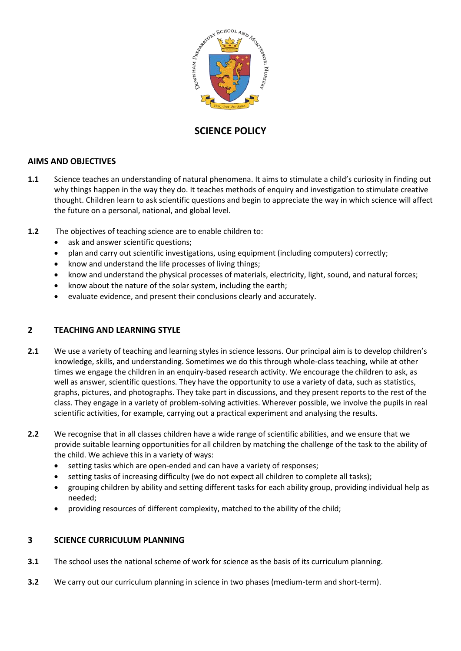

# **SCIENCE POLICY**

# **AIMS AND OBJECTIVES**

- **1.1** Science teaches an understanding of natural phenomena. It aims to stimulate a child's curiosity in finding out why things happen in the way they do. It teaches methods of enquiry and investigation to stimulate creative thought. Children learn to ask scientific questions and begin to appreciate the way in which science will affect the future on a personal, national, and global level.
- **1.2** The objectives of teaching science are to enable children to:
	- ask and answer scientific questions;
	- plan and carry out scientific investigations, using equipment (including computers) correctly;
	- know and understand the life processes of living things;
	- know and understand the physical processes of materials, electricity, light, sound, and natural forces;
	- know about the nature of the solar system, including the earth;
	- evaluate evidence, and present their conclusions clearly and accurately.

# **2 TEACHING AND LEARNING STYLE**

- **2.1** We use a variety of teaching and learning styles in science lessons. Our principal aim is to develop children's knowledge, skills, and understanding. Sometimes we do this through whole-class teaching, while at other times we engage the children in an enquiry-based research activity. We encourage the children to ask, as well as answer, scientific questions. They have the opportunity to use a variety of data, such as statistics, graphs, pictures, and photographs. They take part in discussions, and they present reports to the rest of the class. They engage in a variety of problem-solving activities. Wherever possible, we involve the pupils in real scientific activities, for example, carrying out a practical experiment and analysing the results.
- **2.2** We recognise that in all classes children have a wide range of scientific abilities, and we ensure that we provide suitable learning opportunities for all children by matching the challenge of the task to the ability of the child. We achieve this in a variety of ways:
	- setting tasks which are open-ended and can have a variety of responses;
	- setting tasks of increasing difficulty (we do not expect all children to complete all tasks);
	- grouping children by ability and setting different tasks for each ability group, providing individual help as needed;
	- providing resources of different complexity, matched to the ability of the child;

# **3 SCIENCE CURRICULUM PLANNING**

- **3.1** The school uses the national scheme of work for science as the basis of its curriculum planning.
- **3.2** We carry out our curriculum planning in science in two phases (medium-term and short-term).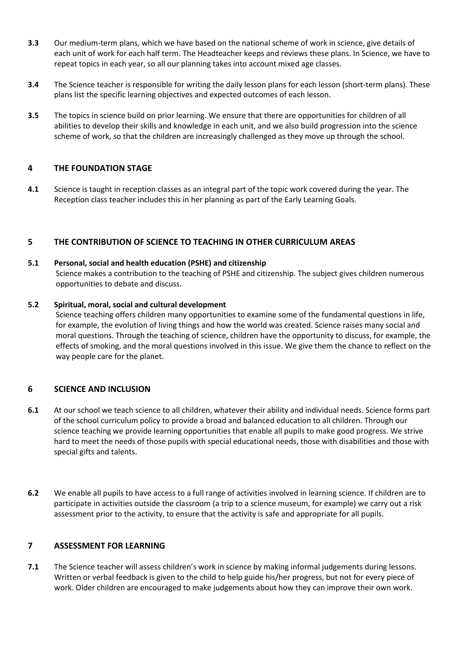- **3.3** Our medium-term plans, which we have based on the national scheme of work in science, give details of each unit of work for each half term. The Headteacher keeps and reviews these plans. In Science, we have to repeat topics in each year, so all our planning takes into account mixed age classes.
- **3.4** The Science teacher is responsible for writing the daily lesson plans for each lesson (short-term plans). These plans list the specific learning objectives and expected outcomes of each lesson.
- **3.5** The topics in science build on prior learning. We ensure that there are opportunities for children of all abilities to develop their skills and knowledge in each unit, and we also build progression into the science scheme of work, so that the children are increasingly challenged as they move up through the school.

# **4 THE FOUNDATION STAGE**

**4.1** Science is taught in reception classes as an integral part of the topic work covered during the year. The Reception class teacher includes this in her planning as part of the Early Learning Goals.

# **5 THE CONTRIBUTION OF SCIENCE TO TEACHING IN OTHER CURRICULUM AREAS**

#### **5.1 Personal, social and health education (PSHE) and citizenship**

Science makes a contribution to the teaching of PSHE and citizenship. The subject gives children numerous opportunities to debate and discuss.

#### **5.2 Spiritual, moral, social and cultural development**

Science teaching offers children many opportunities to examine some of the fundamental questions in life, for example, the evolution of living things and how the world was created. Science raises many social and moral questions. Through the teaching of science, children have the opportunity to discuss, for example, the effects of smoking, and the moral questions involved in this issue. We give them the chance to reflect on the way people care for the planet.

# **6 SCIENCE AND INCLUSION**

- **6.1** At our school we teach science to all children, whatever their ability and individual needs. Science forms part of the school curriculum policy to provide a broad and balanced education to all children. Through our science teaching we provide learning opportunities that enable all pupils to make good progress. We strive hard to meet the needs of those pupils with special educational needs, those with disabilities and those with special gifts and talents.
- **6.2** We enable all pupils to have access to a full range of activities involved in learning science. If children are to participate in activities outside the classroom (a trip to a science museum, for example) we carry out a risk assessment prior to the activity, to ensure that the activity is safe and appropriate for all pupils.

# **7 ASSESSMENT FOR LEARNING**

**7.1** The Science teacher will assess children's work in science by making informal judgements during lessons. Written or verbal feedback is given to the child to help guide his/her progress, but not for every piece of work. Older children are encouraged to make judgements about how they can improve their own work.